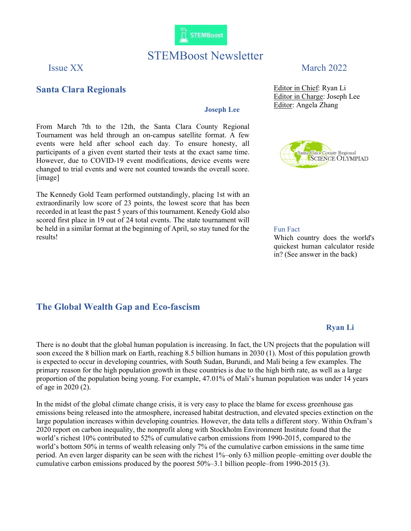

# STEMBoost Newsletter

### Santa Clara Regionals

#### Joseph Lee

From March 7th to the 12th, the Santa Clara County Regional Tournament was held through an on-campus satellite format. A few events were held after school each day. To ensure honesty, all participants of a given event started their tests at the exact same time. However, due to COVID-19 event modifications, device events were changed to trial events and were not counted towards the overall score. [image]

The Kennedy Gold Team performed outstandingly, placing 1st with an extraordinarily low score of 23 points, the lowest score that has been recorded in at least the past 5 years of this tournament. Kenedy Gold also scored first place in 19 out of 24 total events. The state tournament will be held in a similar format at the beginning of April, so stay tuned for the results!

### The Global Wealth Gap and Eco-fascism

## Issue XX March 2022

Editor in Chief: Ryan Li Editor in Charge: Joseph Lee Editor: Angela Zhang



#### Fun Fact

Which country does the world's quickest human calculator reside in? (See answer in the back)

#### Ryan Li

There is no doubt that the global human population is increasing. In fact, the UN projects that the population will soon exceed the 8 billion mark on Earth, reaching 8.5 billion humans in 2030 (1). Most of this population growth is expected to occur in developing countries, with South Sudan, Burundi, and Mali being a few examples. The primary reason for the high population growth in these countries is due to the high birth rate, as well as a large proportion of the population being young. For example, 47.01% of Mali's human population was under 14 years of age in 2020 (2).

In the midst of the global climate change crisis, it is very easy to place the blame for excess greenhouse gas emissions being released into the atmosphere, increased habitat destruction, and elevated species extinction on the large population increases within developing countries. However, the data tells a different story. Within Oxfram's 2020 report on carbon inequality, the nonprofit along with Stockholm Environment Institute found that the world's richest 10% contributed to 52% of cumulative carbon emissions from 1990-2015, compared to the world's bottom 50% in terms of wealth releasing only 7% of the cumulative carbon emissions in the same time period. An even larger disparity can be seen with the richest 1%–only 63 million people–emitting over double the cumulative carbon emissions produced by the poorest 50%–3.1 billion people–from 1990-2015 (3).